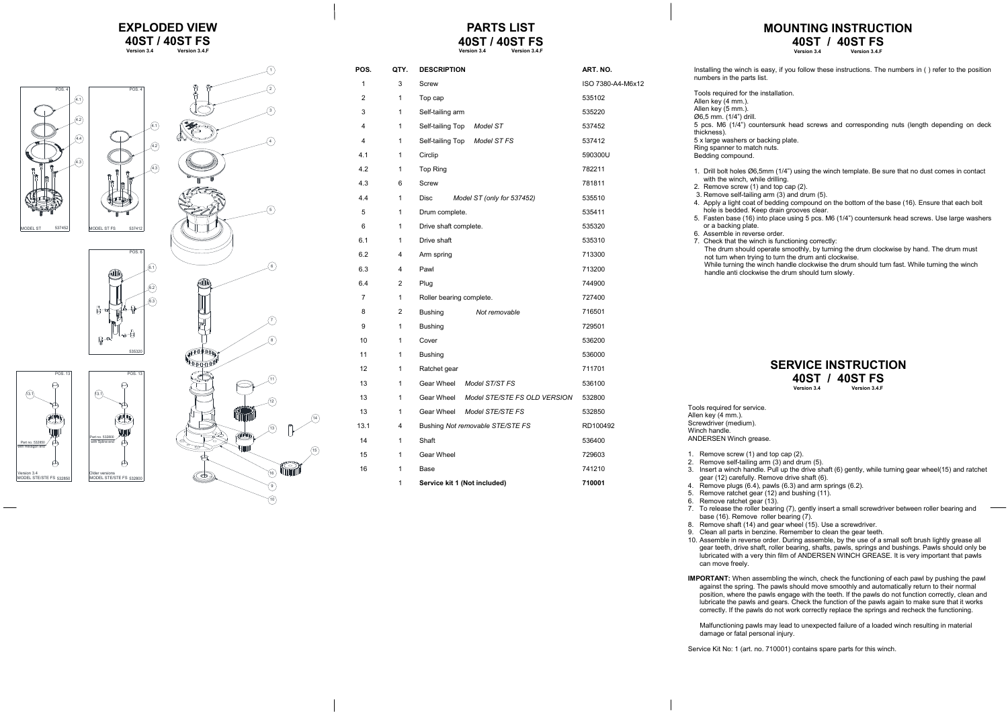ANDERSEN Winch grease.

2. Remove self-tailing arm (3) and drum (5).

3. Insert a winch handle. Pull up the drive shaft (6) gently, while turning gear wheel(15) and ratchet gear (12) carefully. Remove drive shaft (6).

- 1. Remove screw (1) and top cap (2).
- 
- 
- 
- 6. Remove ratchet gear (13).
- 
- 
- 
- 

7. To release the roller bearing (7), gently insert a small screwdriver between roller bearing and base (16). Remove roller bearing (7).

8. Remove shaft (14) and gear wheel (15). Use a screwdriver.

4. Remove plugs (6.4), pawls (6.3) and arm springs (6.2).

5. Remove ratchet gear (12) and bushing (11).

9. Clean all parts in benzine. Remember to clean the gear teeth.

10. Assemble in reverse order. During assemble, by the use of a small soft brush lightly grease all gear teeth, drive shaft, roller bearing, shafts, pawls, springs and bushings. Pawls should only be lubricated with a very thin film of ANDERSEN WINCH GREASE. It is very important that pawls

can move freely.

**IMPORTANT:** When assembling the winch, check the functioning of each pawl by pushing the pawl against the spring. The pawls should move smoothly and automatically return to their normal position, where the pawls engage with the teeth. If the pawls do not function correctly, clean and lubricate the pawls and gears. Check the function of the pawls again to make sure that it works correctly. If the pawls do not work correctly replace the springs and recheck the functioning.

While turning the winch handle clockwise the drum should turn fast. While turning the winch handle anti clockwise the drum should turn slowly.

**40ST / 40ST FS**<br>Version 3.4 **Version 3.4 Version 3.4.F**

#### **MOUNTING INSTRUCTION 40ST / 40ST FS**<br>Version 3.4 **F Version 3.4**

Malfunctioning pawls may lead to unexpected failure of a loaded winch resulting in material damage or fatal personal injury.

Service Kit No: 1 (art. no. 710001) contains spare parts for this winch.

Installing the winch is easy, if you follow these instructions. The numbers in ( ) refer to the position numbers in the parts list.

Tools required for the installation.

Allen key (4 mm.). Allen key (5 mm.).

Ø6,5 mm. (1/4") drill. 5 pcs. M6 (1/4") countersunk head screws and corresponding nuts (length depending on deck thickness). 5 x large washers or backing plate. Ring spanner to match nuts. Bedding compound. 1. Drill bolt holes Ø6,5mm (1/4") using the winch template. Be sure that no dust comes in contact with the winch, while drilling. 2. Remove screw (1) and top cap (2). 3. Remove self-tailing arm (3) and drum (5). 4. Apply a light coat of bedding compound on the bottom of the base (16). Ensure that each bolt hole is bedded. Keep drain grooves clear. 5. Fasten base (16) into place using 5 pcs. M6 (1/4") countersunk head screws. Use large washers or a backing plate. 6. Assemble in reverse order. 7. Check that the winch is functioning correctly: The drum should operate smoothly, by turning the drum clockwise by hand. The drum must not turn when trying to turn the drum anti clockwise.

Tools required for service. Allen key (4 mm.) Screwdriver (medium). Winch handle.

#### **EXPLODED VIEW 40ST / 40ST FS**<br>Version 34<br>*Version* 34 F **Version 3.4 Version 3.4.F**

# **PARTS LIST**

#### **SERVICE INSTRUCTION 40ST / 40ST FS**<br>Version 34 **Version 3.4 Version 3.4.F**



| POS.         | QTY.           | <b>DESCRIPTION</b>                        |                              | ART. NO.          |
|--------------|----------------|-------------------------------------------|------------------------------|-------------------|
| $\mathbf{1}$ | 3              | Screw                                     |                              | ISO 7380-A4-M6x12 |
| 2            | 1              | Top cap                                   |                              | 535102            |
| 3            | 1              | Self-tailing arm                          |                              | 535220            |
| 4            | 1              | Self-tailing Top<br>Model ST              |                              | 537452            |
| 4            | 1              | Self-tailing Top<br>Model ST FS           |                              | 537412            |
| 4.1          | 1              | Circlip                                   |                              | 590300U           |
| 4.2          | 1              | Top Ring                                  |                              | 782211            |
| 4.3          | 6              | Screw                                     |                              | 781811            |
| 4.4          | $\mathbf{1}$   | <b>Disc</b><br>Model ST (only for 537452) |                              | 535510            |
| 5            | 1              | Drum complete.                            |                              | 535411            |
| 6            | 1              | Drive shaft complete.                     |                              | 535320            |
| 6.1          | 1              | Drive shaft                               |                              | 535310            |
| 6.2          | $\overline{4}$ | Arm spring                                |                              | 713300            |
| 6.3          | 4              | Pawl                                      |                              | 713200            |
| 6.4          | 2              | Plug                                      |                              | 744900            |
| 7            | 1              | Roller bearing complete.                  |                              | 727400            |
| 8            | 2              | <b>Bushing</b><br>Not removable           |                              | 716501            |
| 9            | 1              | <b>Bushing</b>                            |                              | 729501            |
| 10           | $\mathbf{1}$   | Cover                                     |                              | 536200            |
| 11           | 1              | <b>Bushing</b>                            |                              | 536000            |
| 12           | 1              | Ratchet gear                              |                              | 711701            |
| 13           | 1              | Gear Wheel<br>Model ST/ST FS              |                              | 536100            |
| 13           | 1              | Gear Wheel                                | Model STE/STE FS OLD VERSION | 532800            |
| 13           | 1              | Gear Wheel<br>Model STE/STE FS            |                              | 532850            |
| 13.1         | 4              | Bushing Not removable STE/STE FS          |                              | RD100492          |
| 14           | 1              | Shaft                                     |                              | 536400            |
| 15           | 1              | Gear Wheel                                |                              | 729603            |
| 16           | 1              | Base                                      |                              | 741210            |
|              | $\mathbf{1}$   | Service kit 1 (Not included)              |                              | 710001            |